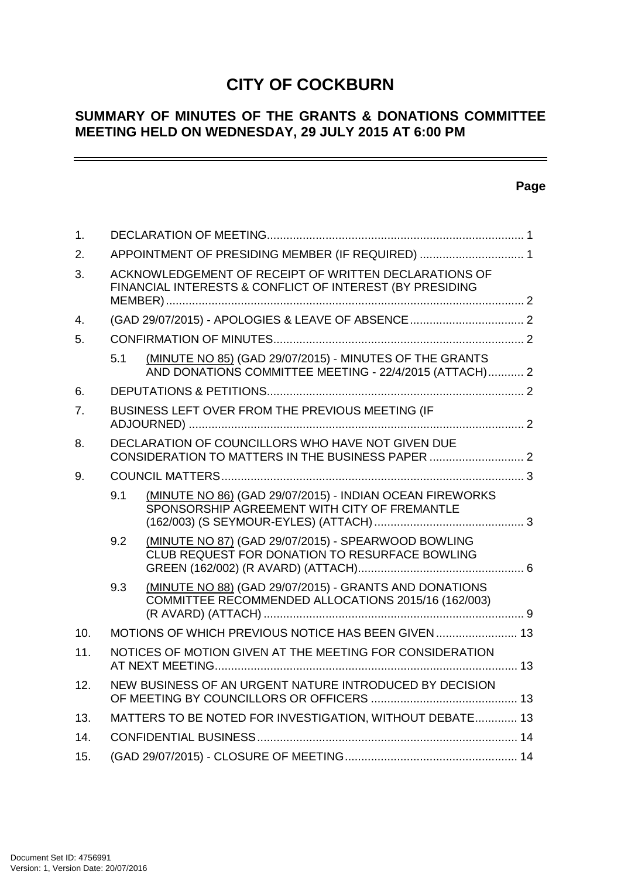# **CITY OF COCKBURN**

# **SUMMARY OF MINUTES OF THE GRANTS & DONATIONS COMMITTEE MEETING HELD ON WEDNESDAY, 29 JULY 2015 AT 6:00 PM**

# **Page**

| 1.  |                                                                                                                   |                                                                                                                   |  |  |
|-----|-------------------------------------------------------------------------------------------------------------------|-------------------------------------------------------------------------------------------------------------------|--|--|
| 2.  | APPOINTMENT OF PRESIDING MEMBER (IF REQUIRED)  1                                                                  |                                                                                                                   |  |  |
| 3.  | ACKNOWLEDGEMENT OF RECEIPT OF WRITTEN DECLARATIONS OF<br>FINANCIAL INTERESTS & CONFLICT OF INTEREST (BY PRESIDING |                                                                                                                   |  |  |
| 4.  |                                                                                                                   |                                                                                                                   |  |  |
| 5.  |                                                                                                                   |                                                                                                                   |  |  |
|     | 5.1                                                                                                               | (MINUTE NO 85) (GAD 29/07/2015) - MINUTES OF THE GRANTS<br>AND DONATIONS COMMITTEE MEETING - 22/4/2015 (ATTACH) 2 |  |  |
| 6.  |                                                                                                                   |                                                                                                                   |  |  |
| 7.  |                                                                                                                   | BUSINESS LEFT OVER FROM THE PREVIOUS MEETING (IF                                                                  |  |  |
| 8.  |                                                                                                                   | DECLARATION OF COUNCILLORS WHO HAVE NOT GIVEN DUE                                                                 |  |  |
| 9.  |                                                                                                                   |                                                                                                                   |  |  |
|     | 9.1                                                                                                               | (MINUTE NO 86) (GAD 29/07/2015) - INDIAN OCEAN FIREWORKS<br>SPONSORSHIP AGREEMENT WITH CITY OF FREMANTLE          |  |  |
|     | 9.2                                                                                                               | (MINUTE NO 87) (GAD 29/07/2015) - SPEARWOOD BOWLING<br>CLUB REQUEST FOR DONATION TO RESURFACE BOWLING             |  |  |
|     | 9.3                                                                                                               | (MINUTE NO 88) (GAD 29/07/2015) - GRANTS AND DONATIONS<br>COMMITTEE RECOMMENDED ALLOCATIONS 2015/16 (162/003)     |  |  |
| 10. |                                                                                                                   | MOTIONS OF WHICH PREVIOUS NOTICE HAS BEEN GIVEN  13                                                               |  |  |
| 11. |                                                                                                                   | NOTICES OF MOTION GIVEN AT THE MEETING FOR CONSIDERATION                                                          |  |  |
| 12. | NEW BUSINESS OF AN URGENT NATURE INTRODUCED BY DECISION                                                           |                                                                                                                   |  |  |
| 13. | MATTERS TO BE NOTED FOR INVESTIGATION, WITHOUT DEBATE 13                                                          |                                                                                                                   |  |  |
| 14  |                                                                                                                   |                                                                                                                   |  |  |
| 15. |                                                                                                                   |                                                                                                                   |  |  |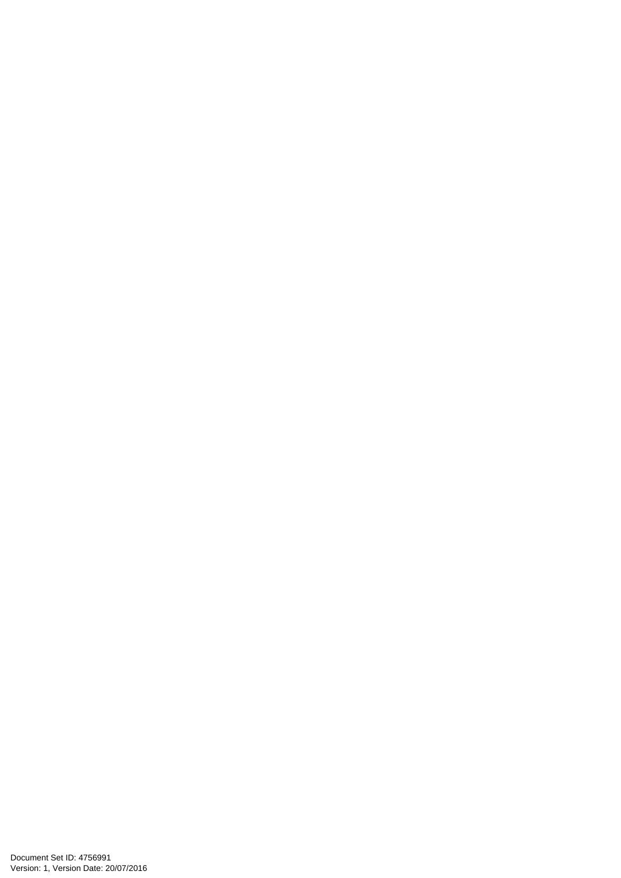Document Set ID: 4756991<br>Version: 1, Version Date: 20/07/2016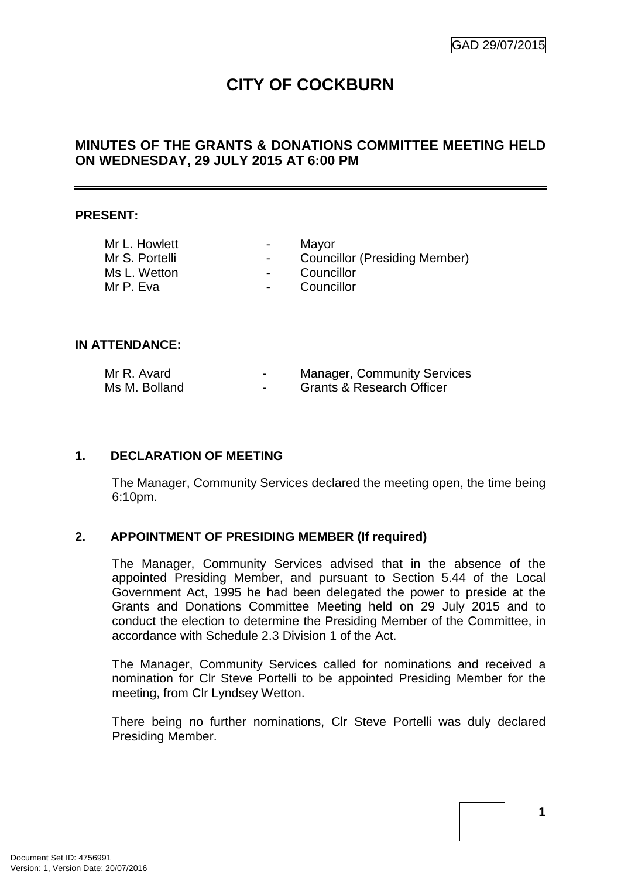# **CITY OF COCKBURN**

# **MINUTES OF THE GRANTS & DONATIONS COMMITTEE MEETING HELD ON WEDNESDAY, 29 JULY 2015 AT 6:00 PM**

#### **PRESENT:**

| Mr L. Howlett  | $\sim$           | Mayor                                |
|----------------|------------------|--------------------------------------|
| Mr S. Portelli | $\sim$           | <b>Councillor (Presiding Member)</b> |
| Ms L. Wetton   | $\sim$ 100 $\mu$ | Councillor                           |
| Mr P. Eva      | $\sim$           | Councillor                           |
|                |                  |                                      |

#### **IN ATTENDANCE:**

| Mr R. Avard   | - | <b>Manager, Community Services</b> |
|---------------|---|------------------------------------|
| Ms M. Bolland |   | Grants & Research Officer          |

#### **1. DECLARATION OF MEETING**

The Manager, Community Services declared the meeting open, the time being 6:10pm.

#### **2. APPOINTMENT OF PRESIDING MEMBER (If required)**

The Manager, Community Services advised that in the absence of the appointed Presiding Member, and pursuant to Section 5.44 of the Local Government Act, 1995 he had been delegated the power to preside at the Grants and Donations Committee Meeting held on 29 July 2015 and to conduct the election to determine the Presiding Member of the Committee, in accordance with Schedule 2.3 Division 1 of the Act.

The Manager, Community Services called for nominations and received a nomination for Clr Steve Portelli to be appointed Presiding Member for the meeting, from Clr Lyndsey Wetton.

There being no further nominations, Clr Steve Portelli was duly declared Presiding Member.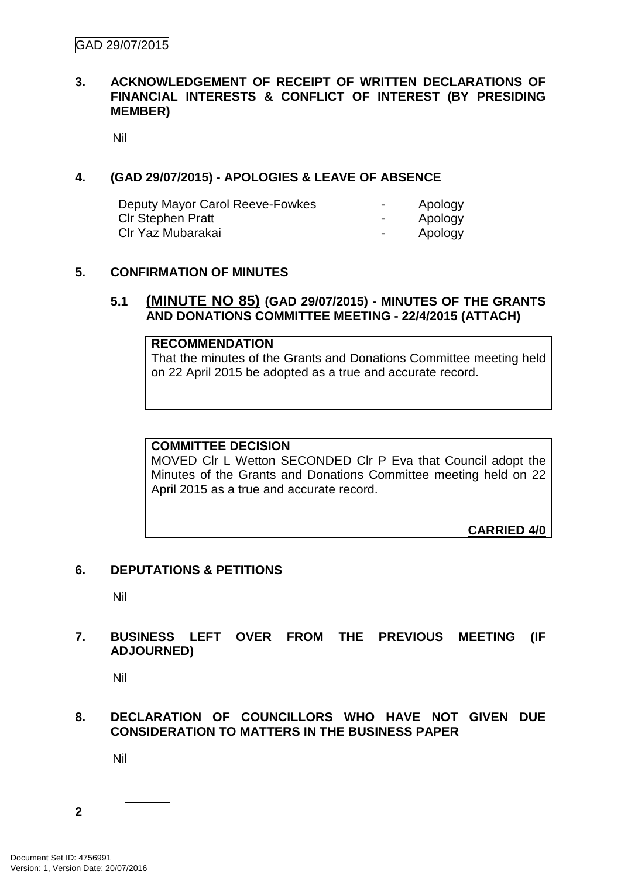## **3. ACKNOWLEDGEMENT OF RECEIPT OF WRITTEN DECLARATIONS OF FINANCIAL INTERESTS & CONFLICT OF INTEREST (BY PRESIDING MEMBER)**

Nil

## **4. (GAD 29/07/2015) - APOLOGIES & LEAVE OF ABSENCE**

| Deputy Mayor Carol Reeve-Fowkes | $\sim$         | Apology |
|---------------------------------|----------------|---------|
| <b>CIr Stephen Pratt</b>        | $\sim$         | Apology |
| Clr Yaz Mubarakai               | $\blacksquare$ | Apology |

## **5. CONFIRMATION OF MINUTES**

## **5.1 (MINUTE NO 85) (GAD 29/07/2015) - MINUTES OF THE GRANTS AND DONATIONS COMMITTEE MEETING - 22/4/2015 (ATTACH)**

#### **RECOMMENDATION**

That the minutes of the Grants and Donations Committee meeting held on 22 April 2015 be adopted as a true and accurate record.

#### **COMMITTEE DECISION**

MOVED Clr L Wetton SECONDED Clr P Eva that Council adopt the Minutes of the Grants and Donations Committee meeting held on 22 April 2015 as a true and accurate record.

**CARRIED 4/0**

## **6. DEPUTATIONS & PETITIONS**

Nil

## **7. BUSINESS LEFT OVER FROM THE PREVIOUS MEETING (IF ADJOURNED)**

Nil

## **8. DECLARATION OF COUNCILLORS WHO HAVE NOT GIVEN DUE CONSIDERATION TO MATTERS IN THE BUSINESS PAPER**

Nil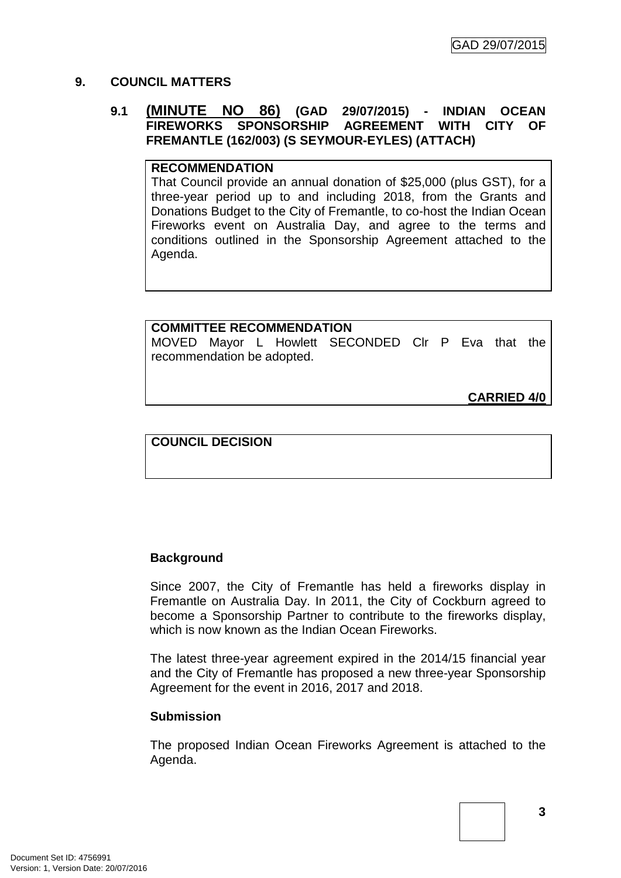## **9. COUNCIL MATTERS**

## **9.1 (MINUTE NO 86) (GAD 29/07/2015) - INDIAN OCEAN FIREWORKS SPONSORSHIP AGREEMENT WITH CITY OF FREMANTLE (162/003) (S SEYMOUR-EYLES) (ATTACH)**

## **RECOMMENDATION**

That Council provide an annual donation of \$25,000 (plus GST), for a three-year period up to and including 2018, from the Grants and Donations Budget to the City of Fremantle, to co-host the Indian Ocean Fireworks event on Australia Day, and agree to the terms and conditions outlined in the Sponsorship Agreement attached to the Agenda.

# **COMMITTEE RECOMMENDATION**

MOVED Mayor L Howlett SECONDED Clr P Eva that the recommendation be adopted.

**CARRIED 4/0**

## **COUNCIL DECISION**

## **Background**

Since 2007, the City of Fremantle has held a fireworks display in Fremantle on Australia Day. In 2011, the City of Cockburn agreed to become a Sponsorship Partner to contribute to the fireworks display, which is now known as the Indian Ocean Fireworks.

The latest three-year agreement expired in the 2014/15 financial year and the City of Fremantle has proposed a new three-year Sponsorship Agreement for the event in 2016, 2017 and 2018.

#### **Submission**

The proposed Indian Ocean Fireworks Agreement is attached to the Agenda.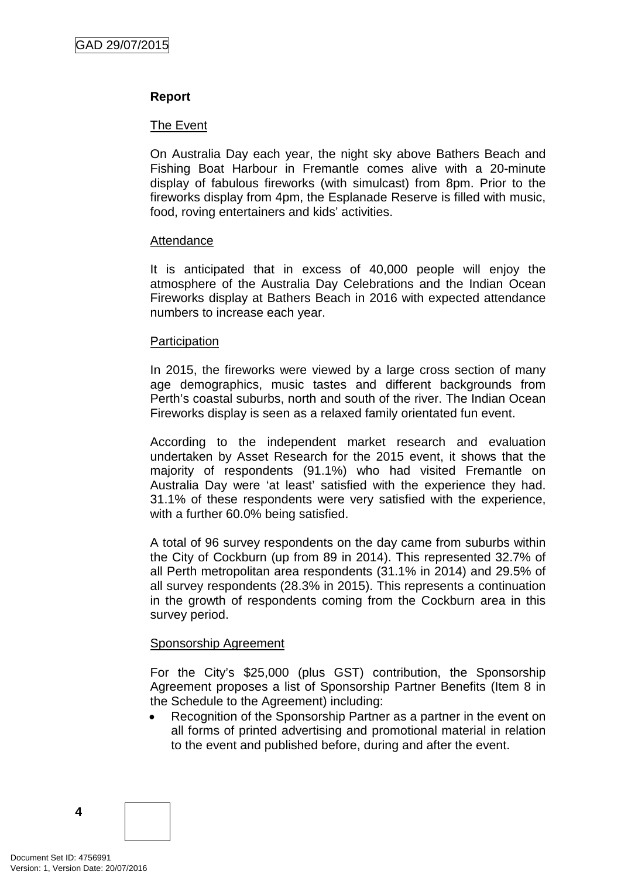## **Report**

#### The Event

On Australia Day each year, the night sky above Bathers Beach and Fishing Boat Harbour in Fremantle comes alive with a 20-minute display of fabulous fireworks (with simulcast) from 8pm. Prior to the fireworks display from 4pm, the Esplanade Reserve is filled with music, food, roving entertainers and kids' activities.

#### Attendance

It is anticipated that in excess of 40,000 people will enjoy the atmosphere of the Australia Day Celebrations and the Indian Ocean Fireworks display at Bathers Beach in 2016 with expected attendance numbers to increase each year.

#### **Participation**

In 2015, the fireworks were viewed by a large cross section of many age demographics, music tastes and different backgrounds from Perth's coastal suburbs, north and south of the river. The Indian Ocean Fireworks display is seen as a relaxed family orientated fun event.

According to the independent market research and evaluation undertaken by Asset Research for the 2015 event, it shows that the majority of respondents (91.1%) who had visited Fremantle on Australia Day were 'at least' satisfied with the experience they had. 31.1% of these respondents were very satisfied with the experience, with a further 60.0% being satisfied.

A total of 96 survey respondents on the day came from suburbs within the City of Cockburn (up from 89 in 2014). This represented 32.7% of all Perth metropolitan area respondents (31.1% in 2014) and 29.5% of all survey respondents (28.3% in 2015). This represents a continuation in the growth of respondents coming from the Cockburn area in this survey period.

## Sponsorship Agreement

For the City's \$25,000 (plus GST) contribution, the Sponsorship Agreement proposes a list of Sponsorship Partner Benefits (Item 8 in the Schedule to the Agreement) including:

• Recognition of the Sponsorship Partner as a partner in the event on all forms of printed advertising and promotional material in relation to the event and published before, during and after the event.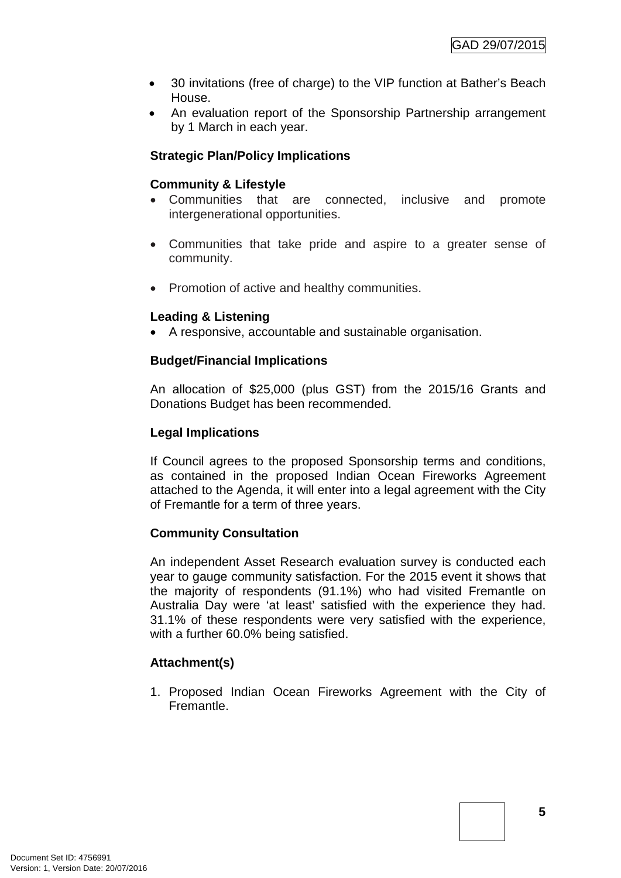- 30 invitations (free of charge) to the VIP function at Bather's Beach House.
- An evaluation report of the Sponsorship Partnership arrangement by 1 March in each year.

## **Strategic Plan/Policy Implications**

## **Community & Lifestyle**

- Communities that are connected, inclusive and promote intergenerational opportunities.
- Communities that take pride and aspire to a greater sense of community.
- Promotion of active and healthy communities.

#### **Leading & Listening**

• A responsive, accountable and sustainable organisation.

## **Budget/Financial Implications**

An allocation of \$25,000 (plus GST) from the 2015/16 Grants and Donations Budget has been recommended.

#### **Legal Implications**

If Council agrees to the proposed Sponsorship terms and conditions, as contained in the proposed Indian Ocean Fireworks Agreement attached to the Agenda, it will enter into a legal agreement with the City of Fremantle for a term of three years.

## **Community Consultation**

An independent Asset Research evaluation survey is conducted each year to gauge community satisfaction. For the 2015 event it shows that the majority of respondents (91.1%) who had visited Fremantle on Australia Day were 'at least' satisfied with the experience they had. 31.1% of these respondents were very satisfied with the experience, with a further 60.0% being satisfied.

## **Attachment(s)**

1. Proposed Indian Ocean Fireworks Agreement with the City of Fremantle.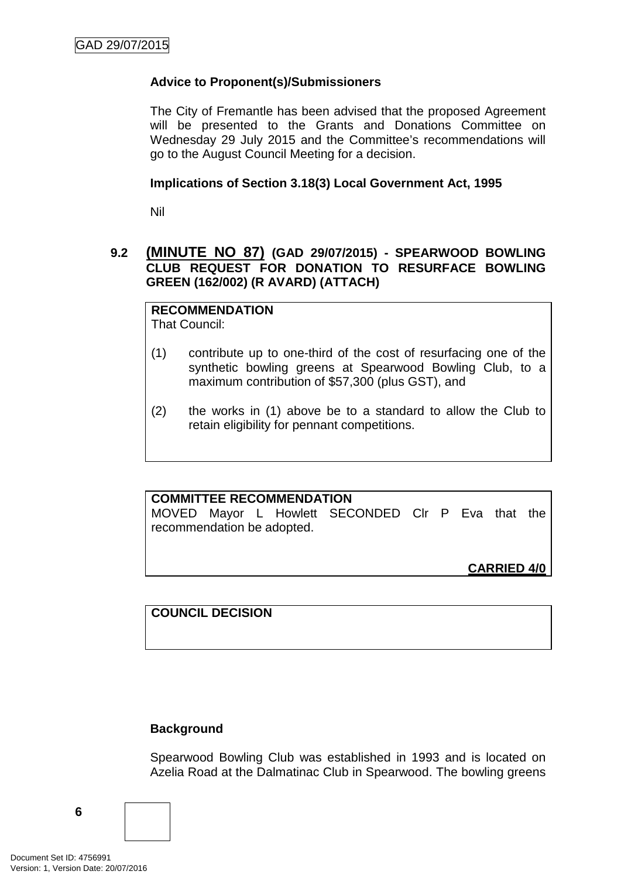# **Advice to Proponent(s)/Submissioners**

The City of Fremantle has been advised that the proposed Agreement will be presented to the Grants and Donations Committee on Wednesday 29 July 2015 and the Committee's recommendations will go to the August Council Meeting for a decision.

## **Implications of Section 3.18(3) Local Government Act, 1995**

Nil

# **9.2 (MINUTE NO 87) (GAD 29/07/2015) - SPEARWOOD BOWLING CLUB REQUEST FOR DONATION TO RESURFACE BOWLING GREEN (162/002) (R AVARD) (ATTACH)**

**RECOMMENDATION** That Council:

- (1) contribute up to one-third of the cost of resurfacing one of the synthetic bowling greens at Spearwood Bowling Club, to a maximum contribution of \$57,300 (plus GST), and
- (2) the works in (1) above be to a standard to allow the Club to retain eligibility for pennant competitions.

## **COMMITTEE RECOMMENDATION**

MOVED Mayor L Howlett SECONDED Clr P Eva that the recommendation be adopted.

**CARRIED 4/0**

**COUNCIL DECISION**

# **Background**

Spearwood Bowling Club was established in 1993 and is located on Azelia Road at the Dalmatinac Club in Spearwood. The bowling greens

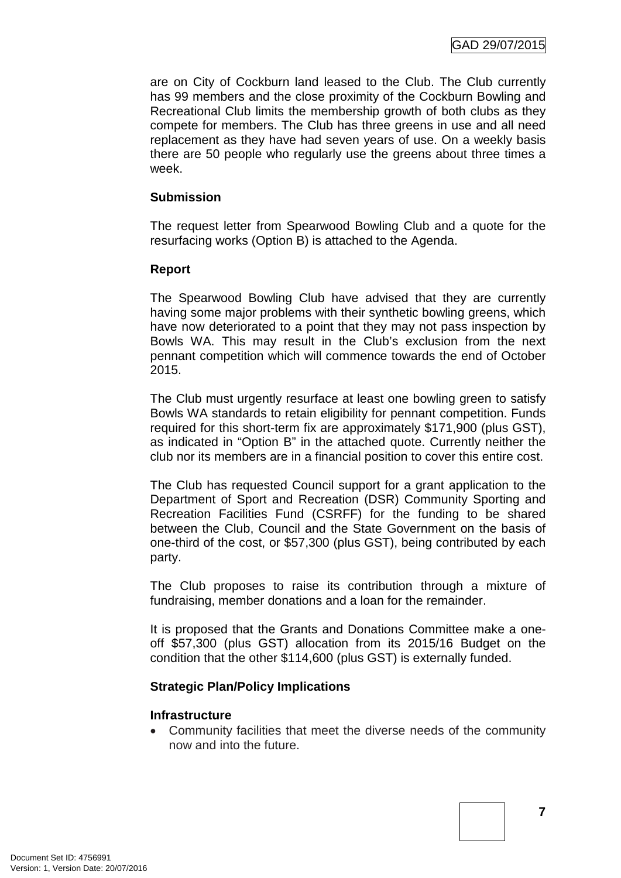are on City of Cockburn land leased to the Club. The Club currently has 99 members and the close proximity of the Cockburn Bowling and Recreational Club limits the membership growth of both clubs as they compete for members. The Club has three greens in use and all need replacement as they have had seven years of use. On a weekly basis there are 50 people who regularly use the greens about three times a week.

## **Submission**

The request letter from Spearwood Bowling Club and a quote for the resurfacing works (Option B) is attached to the Agenda.

## **Report**

The Spearwood Bowling Club have advised that they are currently having some major problems with their synthetic bowling greens, which have now deteriorated to a point that they may not pass inspection by Bowls WA. This may result in the Club's exclusion from the next pennant competition which will commence towards the end of October 2015.

The Club must urgently resurface at least one bowling green to satisfy Bowls WA standards to retain eligibility for pennant competition. Funds required for this short-term fix are approximately \$171,900 (plus GST), as indicated in "Option B" in the attached quote. Currently neither the club nor its members are in a financial position to cover this entire cost.

The Club has requested Council support for a grant application to the Department of Sport and Recreation (DSR) Community Sporting and Recreation Facilities Fund (CSRFF) for the funding to be shared between the Club, Council and the State Government on the basis of one-third of the cost, or \$57,300 (plus GST), being contributed by each party.

The Club proposes to raise its contribution through a mixture of fundraising, member donations and a loan for the remainder.

It is proposed that the Grants and Donations Committee make a oneoff \$57,300 (plus GST) allocation from its 2015/16 Budget on the condition that the other \$114,600 (plus GST) is externally funded.

## **Strategic Plan/Policy Implications**

## **Infrastructure**

• Community facilities that meet the diverse needs of the community now and into the future.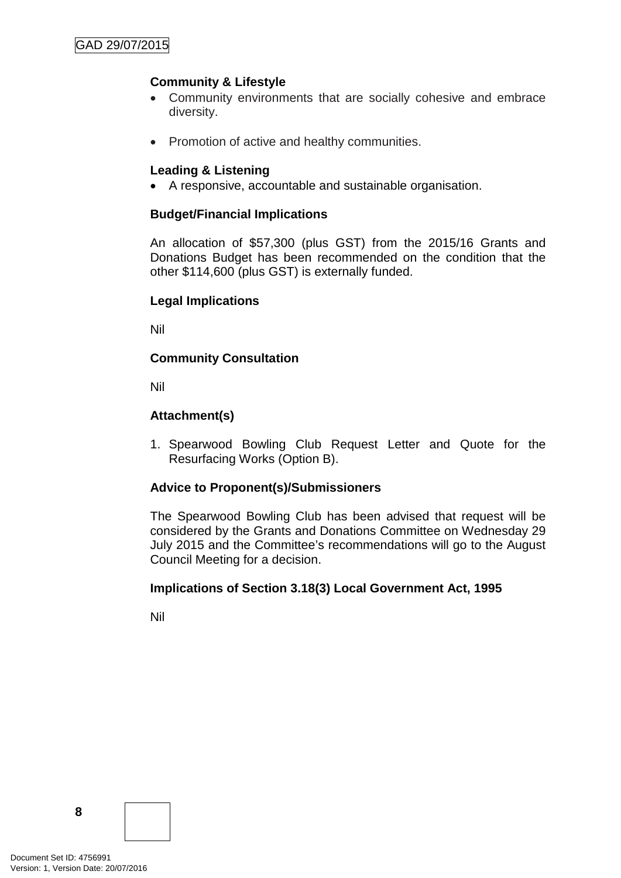# **Community & Lifestyle**

- Community environments that are socially cohesive and embrace diversity.
- Promotion of active and healthy communities.

#### **Leading & Listening**

• A responsive, accountable and sustainable organisation.

#### **Budget/Financial Implications**

An allocation of \$57,300 (plus GST) from the 2015/16 Grants and Donations Budget has been recommended on the condition that the other \$114,600 (plus GST) is externally funded.

#### **Legal Implications**

Nil

#### **Community Consultation**

Nil

## **Attachment(s)**

1. Spearwood Bowling Club Request Letter and Quote for the Resurfacing Works (Option B).

## **Advice to Proponent(s)/Submissioners**

The Spearwood Bowling Club has been advised that request will be considered by the Grants and Donations Committee on Wednesday 29 July 2015 and the Committee's recommendations will go to the August Council Meeting for a decision.

## **Implications of Section 3.18(3) Local Government Act, 1995**

Nil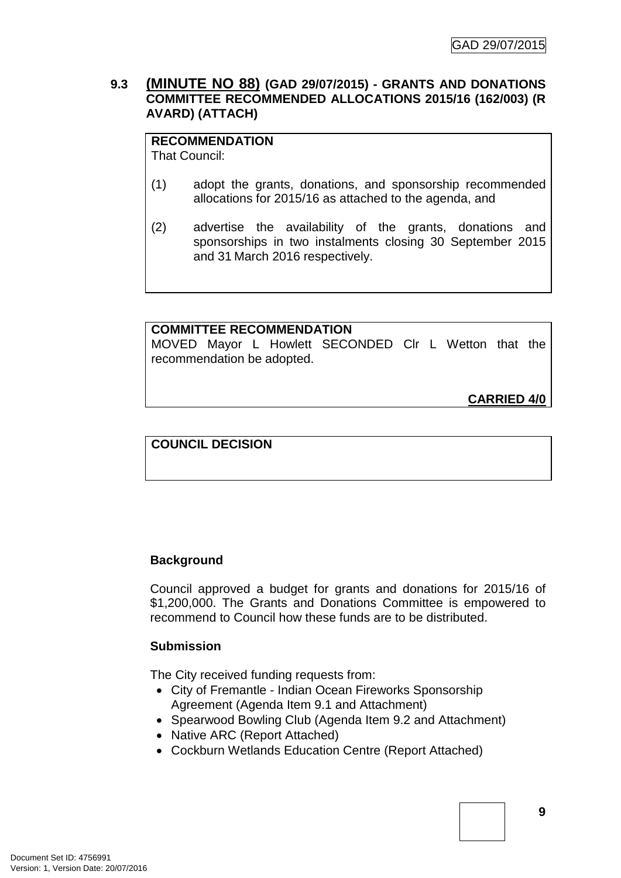## **9.3 (MINUTE NO 88) (GAD 29/07/2015) - GRANTS AND DONATIONS COMMITTEE RECOMMENDED ALLOCATIONS 2015/16 (162/003) (R AVARD) (ATTACH)**

# **RECOMMENDATION**

That Council:

- (1) adopt the grants, donations, and sponsorship recommended allocations for 2015/16 as attached to the agenda, and
- (2) advertise the availability of the grants, donations and sponsorships in two instalments closing 30 September 2015 and 31 March 2016 respectively.

## **COMMITTEE RECOMMENDATION**

MOVED Mayor L Howlett SECONDED Clr L Wetton that the recommendation be adopted.

**CARRIED 4/0**

# **COUNCIL DECISION**

# **Background**

Council approved a budget for grants and donations for 2015/16 of \$1,200,000. The Grants and Donations Committee is empowered to recommend to Council how these funds are to be distributed.

## **Submission**

The City received funding requests from:

- City of Fremantle Indian Ocean Fireworks Sponsorship Agreement (Agenda Item 9.1 and Attachment)
- Spearwood Bowling Club (Agenda Item 9.2 and Attachment)
- Native ARC (Report Attached)
- Cockburn Wetlands Education Centre (Report Attached)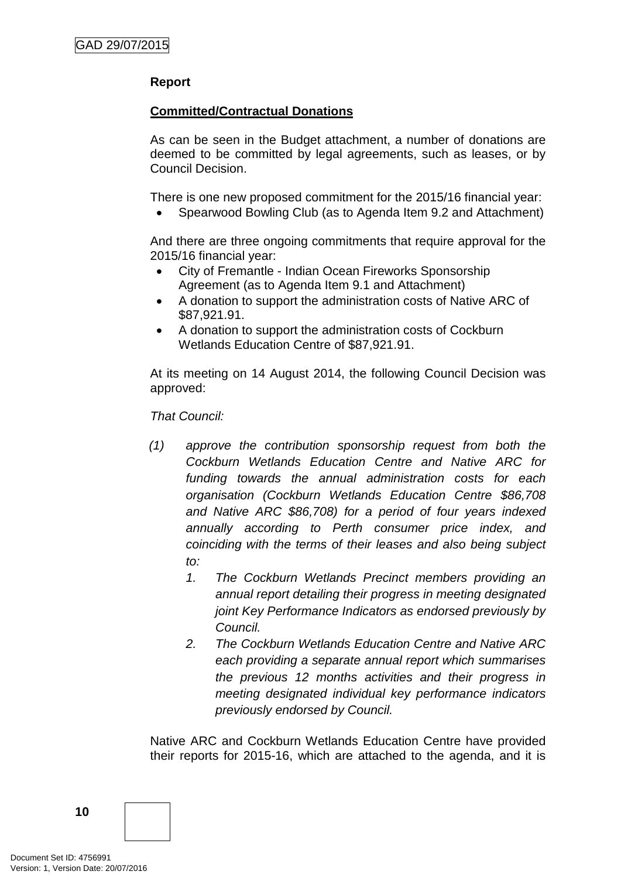## **Report**

## **Committed/Contractual Donations**

As can be seen in the Budget attachment, a number of donations are deemed to be committed by legal agreements, such as leases, or by Council Decision.

There is one new proposed commitment for the 2015/16 financial year:

• Spearwood Bowling Club (as to Agenda Item 9.2 and Attachment)

And there are three ongoing commitments that require approval for the 2015/16 financial year:

- City of Fremantle Indian Ocean Fireworks Sponsorship Agreement (as to Agenda Item 9.1 and Attachment)
- A donation to support the administration costs of Native ARC of \$87,921.91.
- A donation to support the administration costs of Cockburn Wetlands Education Centre of \$87,921.91.

At its meeting on 14 August 2014, the following Council Decision was approved:

*That Council:*

- *(1) approve the contribution sponsorship request from both the Cockburn Wetlands Education Centre and Native ARC for funding towards the annual administration costs for each organisation (Cockburn Wetlands Education Centre \$86,708 and Native ARC \$86,708) for a period of four years indexed annually according to Perth consumer price index, and coinciding with the terms of their leases and also being subject to:*
	- *1. The Cockburn Wetlands Precinct members providing an annual report detailing their progress in meeting designated joint Key Performance Indicators as endorsed previously by Council.*
	- *2. The Cockburn Wetlands Education Centre and Native ARC each providing a separate annual report which summarises the previous 12 months activities and their progress in meeting designated individual key performance indicators previously endorsed by Council.*

Native ARC and Cockburn Wetlands Education Centre have provided their reports for 2015-16, which are attached to the agenda, and it is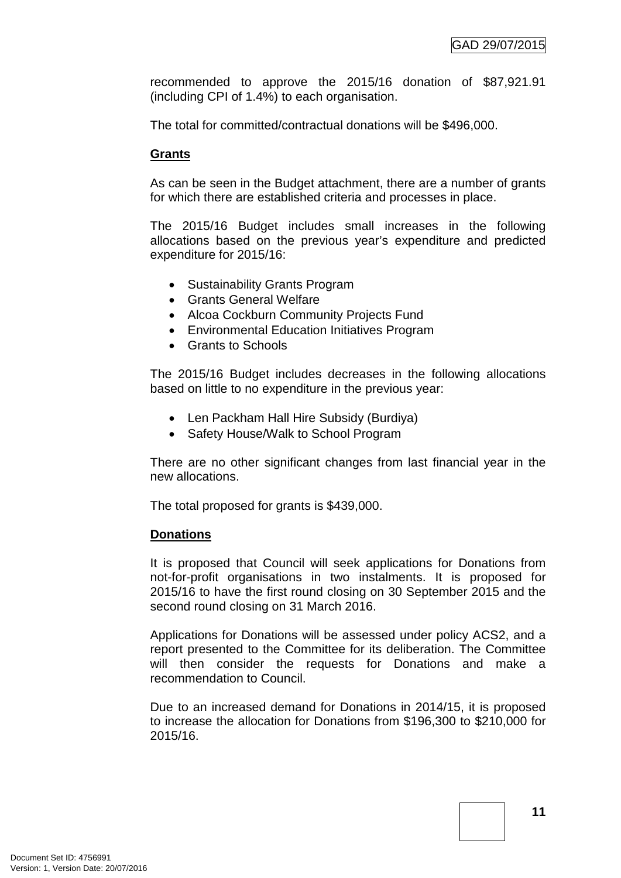recommended to approve the 2015/16 donation of \$87,921.91 (including CPI of 1.4%) to each organisation.

The total for committed/contractual donations will be \$496,000.

# **Grants**

As can be seen in the Budget attachment, there are a number of grants for which there are established criteria and processes in place.

The 2015/16 Budget includes small increases in the following allocations based on the previous year's expenditure and predicted expenditure for 2015/16:

- Sustainability Grants Program
- Grants General Welfare
- Alcoa Cockburn Community Projects Fund
- Environmental Education Initiatives Program
- Grants to Schools

The 2015/16 Budget includes decreases in the following allocations based on little to no expenditure in the previous year:

- Len Packham Hall Hire Subsidy (Burdiya)
- Safety House/Walk to School Program

There are no other significant changes from last financial year in the new allocations.

The total proposed for grants is \$439,000.

## **Donations**

It is proposed that Council will seek applications for Donations from not-for-profit organisations in two instalments. It is proposed for 2015/16 to have the first round closing on 30 September 2015 and the second round closing on 31 March 2016.

Applications for Donations will be assessed under policy ACS2, and a report presented to the Committee for its deliberation. The Committee will then consider the requests for Donations and make a recommendation to Council.

Due to an increased demand for Donations in 2014/15, it is proposed to increase the allocation for Donations from \$196,300 to \$210,000 for 2015/16.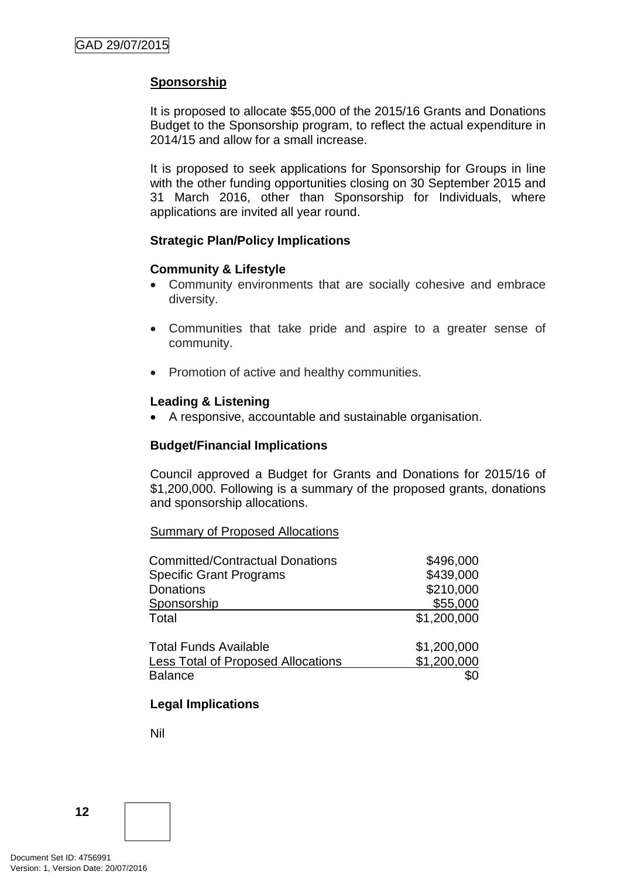# **Sponsorship**

It is proposed to allocate \$55,000 of the 2015/16 Grants and Donations Budget to the Sponsorship program, to reflect the actual expenditure in 2014/15 and allow for a small increase.

It is proposed to seek applications for Sponsorship for Groups in line with the other funding opportunities closing on 30 September 2015 and 31 March 2016, other than Sponsorship for Individuals, where applications are invited all year round.

## **Strategic Plan/Policy Implications**

## **Community & Lifestyle**

- Community environments that are socially cohesive and embrace diversity.
- Communities that take pride and aspire to a greater sense of community.
- Promotion of active and healthy communities.

#### **Leading & Listening**

• A responsive, accountable and sustainable organisation.

## **Budget/Financial Implications**

Council approved a Budget for Grants and Donations for 2015/16 of \$1,200,000. Following is a summary of the proposed grants, donations and sponsorship allocations.

Summary of Proposed Allocations

| <b>Committed/Contractual Donations</b>    | \$496,000   |
|-------------------------------------------|-------------|
| <b>Specific Grant Programs</b>            | \$439,000   |
| <b>Donations</b>                          | \$210,000   |
| Sponsorship                               | \$55,000    |
| Total                                     | \$1,200,000 |
| <b>Total Funds Available</b>              | \$1,200,000 |
| <b>Less Total of Proposed Allocations</b> | \$1,200,000 |
| <b>Balance</b>                            | \$0         |

# **Legal Implications**

Nil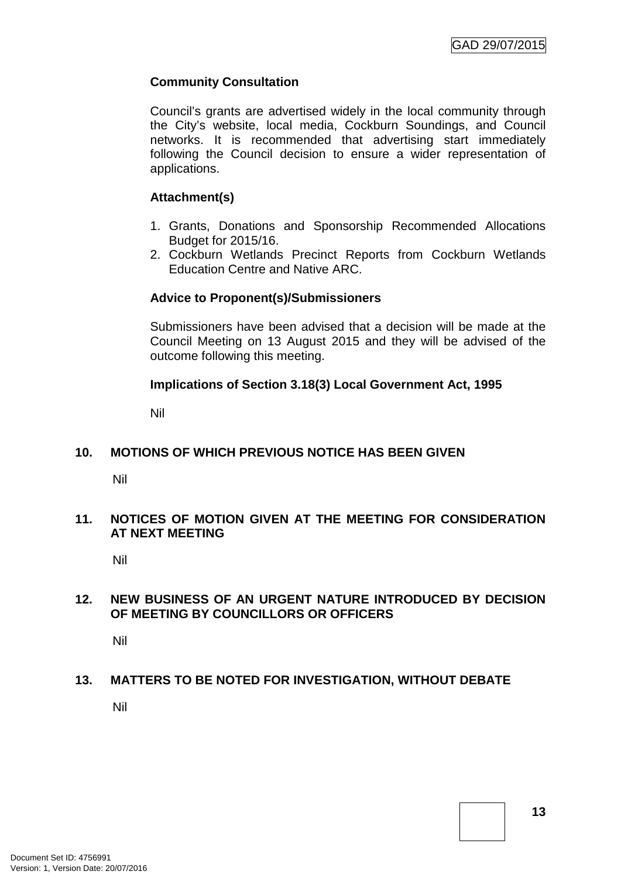# **Community Consultation**

Council's grants are advertised widely in the local community through the City's website, local media, Cockburn Soundings, and Council networks. It is recommended that advertising start immediately following the Council decision to ensure a wider representation of applications.

# **Attachment(s)**

- 1. Grants, Donations and Sponsorship Recommended Allocations Budget for 2015/16.
- 2. Cockburn Wetlands Precinct Reports from Cockburn Wetlands Education Centre and Native ARC.

# **Advice to Proponent(s)/Submissioners**

Submissioners have been advised that a decision will be made at the Council Meeting on 13 August 2015 and they will be advised of the outcome following this meeting.

# **Implications of Section 3.18(3) Local Government Act, 1995**

Nil

# **10. MOTIONS OF WHICH PREVIOUS NOTICE HAS BEEN GIVEN**

Nil

## **11. NOTICES OF MOTION GIVEN AT THE MEETING FOR CONSIDERATION AT NEXT MEETING**

Nil

## **12. NEW BUSINESS OF AN URGENT NATURE INTRODUCED BY DECISION OF MEETING BY COUNCILLORS OR OFFICERS**

Nil

# **13. MATTERS TO BE NOTED FOR INVESTIGATION, WITHOUT DEBATE**

Nil